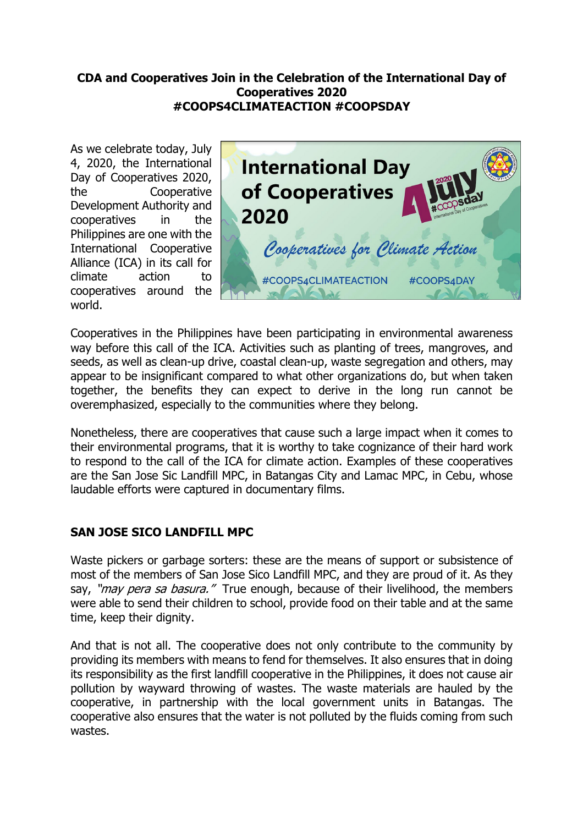## **CDA and Cooperatives Join in the Celebration of the International Day of Cooperatives 2020 #COOPS4CLIMATEACTION #COOPSDAY**

As we celebrate today, July 4, 2020, the International Day of Cooperatives 2020, the Cooperative Development Authority and cooperatives in the Philippines are one with the International Cooperative Alliance (ICA) in its call for climate action to cooperatives around the world.



Cooperatives in the Philippines have been participating in environmental awareness way before this call of the ICA. Activities such as planting of trees, mangroves, and seeds, as well as clean-up drive, coastal clean-up, waste segregation and others, may appear to be insignificant compared to what other organizations do, but when taken together, the benefits they can expect to derive in the long run cannot be overemphasized, especially to the communities where they belong.

Nonetheless, there are cooperatives that cause such a large impact when it comes to their environmental programs, that it is worthy to take cognizance of their hard work to respond to the call of the ICA for climate action. Examples of these cooperatives are the San Jose Sic Landfill MPC, in Batangas City and Lamac MPC, in Cebu, whose laudable efforts were captured in documentary films.

## **SAN JOSE SICO LANDFILL MPC**

Waste pickers or garbage sorters: these are the means of support or subsistence of most of the members of San Jose Sico Landfill MPC, and they are proud of it. As they say, "*may pera sa basura."* True enough, because of their livelihood, the members were able to send their children to school, provide food on their table and at the same time, keep their dignity.

And that is not all. The cooperative does not only contribute to the community by providing its members with means to fend for themselves. It also ensures that in doing its responsibility as the first landfill cooperative in the Philippines, it does not cause air pollution by wayward throwing of wastes. The waste materials are hauled by the cooperative, in partnership with the local government units in Batangas. The cooperative also ensures that the water is not polluted by the fluids coming from such wastes.